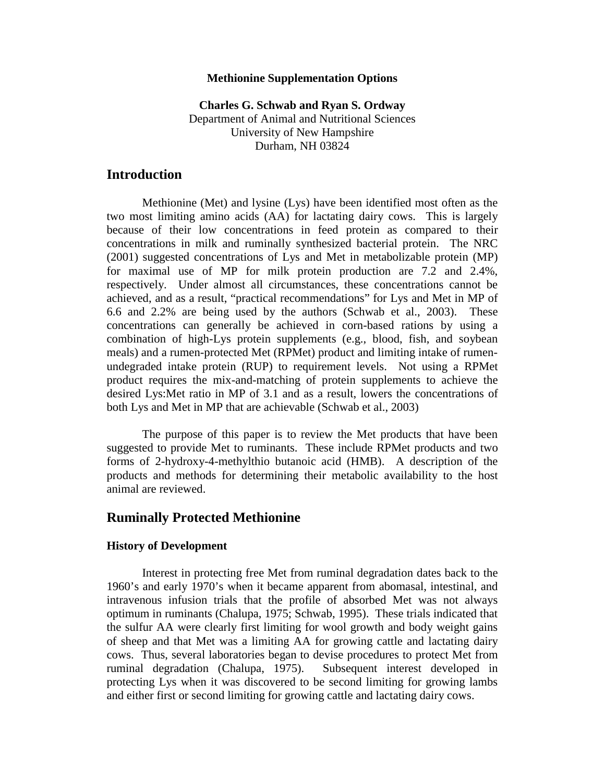## **Methionine Supplementation Options**

**Charles G. Schwab and Ryan S. Ordway**  Department of Animal and Nutritional Sciences University of New Hampshire Durham, NH 03824

# **Introduction**

 Methionine (Met) and lysine (Lys) have been identified most often as the two most limiting amino acids (AA) for lactating dairy cows. This is largely because of their low concentrations in feed protein as compared to their concentrations in milk and ruminally synthesized bacterial protein. The NRC (2001) suggested concentrations of Lys and Met in metabolizable protein (MP) for maximal use of MP for milk protein production are 7.2 and 2.4%, respectively. Under almost all circumstances, these concentrations cannot be achieved, and as a result, "practical recommendations" for Lys and Met in MP of 6.6 and 2.2% are being used by the authors (Schwab et al., 2003). These concentrations can generally be achieved in corn-based rations by using a combination of high-Lys protein supplements (e.g., blood, fish, and soybean meals) and a rumen-protected Met (RPMet) product and limiting intake of rumenundegraded intake protein (RUP) to requirement levels. Not using a RPMet product requires the mix-and-matching of protein supplements to achieve the desired Lys:Met ratio in MP of 3.1 and as a result, lowers the concentrations of both Lys and Met in MP that are achievable (Schwab et al., 2003)

 The purpose of this paper is to review the Met products that have been suggested to provide Met to ruminants. These include RPMet products and two forms of 2-hydroxy-4-methylthio butanoic acid (HMB). A description of the products and methods for determining their metabolic availability to the host animal are reviewed.

# **Ruminally Protected Methionine**

## **History of Development**

Interest in protecting free Met from ruminal degradation dates back to the 1960's and early 1970's when it became apparent from abomasal, intestinal, and intravenous infusion trials that the profile of absorbed Met was not always optimum in ruminants (Chalupa, 1975; Schwab, 1995). These trials indicated that the sulfur AA were clearly first limiting for wool growth and body weight gains of sheep and that Met was a limiting AA for growing cattle and lactating dairy cows. Thus, several laboratories began to devise procedures to protect Met from ruminal degradation (Chalupa, 1975). Subsequent interest developed in protecting Lys when it was discovered to be second limiting for growing lambs and either first or second limiting for growing cattle and lactating dairy cows.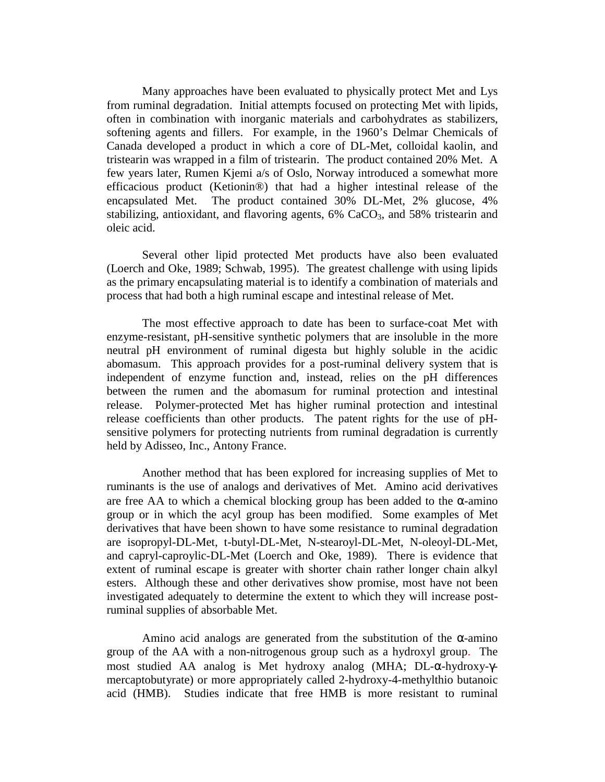Many approaches have been evaluated to physically protect Met and Lys from ruminal degradation. Initial attempts focused on protecting Met with lipids, often in combination with inorganic materials and carbohydrates as stabilizers, softening agents and fillers. For example, in the 1960's Delmar Chemicals of Canada developed a product in which a core of DL-Met, colloidal kaolin, and tristearin was wrapped in a film of tristearin. The product contained 20% Met. A few years later, Rumen Kjemi a/s of Oslo, Norway introduced a somewhat more efficacious product (Ketionin®) that had a higher intestinal release of the encapsulated Met. The product contained 30% DL-Met, 2% glucose, 4% stabilizing, antioxidant, and flavoring agents,  $6\%$  CaCO<sub>3</sub>, and 58% tristearin and oleic acid.

 Several other lipid protected Met products have also been evaluated (Loerch and Oke, 1989; Schwab, 1995). The greatest challenge with using lipids as the primary encapsulating material is to identify a combination of materials and process that had both a high ruminal escape and intestinal release of Met.

 The most effective approach to date has been to surface-coat Met with enzyme-resistant, pH-sensitive synthetic polymers that are insoluble in the more neutral pH environment of ruminal digesta but highly soluble in the acidic abomasum. This approach provides for a post-ruminal delivery system that is independent of enzyme function and, instead, relies on the pH differences between the rumen and the abomasum for ruminal protection and intestinal release. Polymer-protected Met has higher ruminal protection and intestinal release coefficients than other products. The patent rights for the use of pHsensitive polymers for protecting nutrients from ruminal degradation is currently held by Adisseo, Inc., Antony France.

 Another method that has been explored for increasing supplies of Met to ruminants is the use of analogs and derivatives of Met. Amino acid derivatives are free AA to which a chemical blocking group has been added to the  $\alpha$ -amino group or in which the acyl group has been modified. Some examples of Met derivatives that have been shown to have some resistance to ruminal degradation are isopropyl-DL-Met, t-butyl-DL-Met, N-stearoyl-DL-Met, N-oleoyl-DL-Met, and capryl-caproylic-DL-Met (Loerch and Oke, 1989). There is evidence that extent of ruminal escape is greater with shorter chain rather longer chain alkyl esters. Although these and other derivatives show promise, most have not been investigated adequately to determine the extent to which they will increase postruminal supplies of absorbable Met.

Amino acid analogs are generated from the substitution of the  $\alpha$ -amino group of the AA with a non-nitrogenous group such as a hydroxyl group. The most studied AA analog is Met hydroxy analog (MHA; DL-α-hydroxy-γmercaptobutyrate) or more appropriately called 2-hydroxy-4-methylthio butanoic acid (HMB). Studies indicate that free HMB is more resistant to ruminal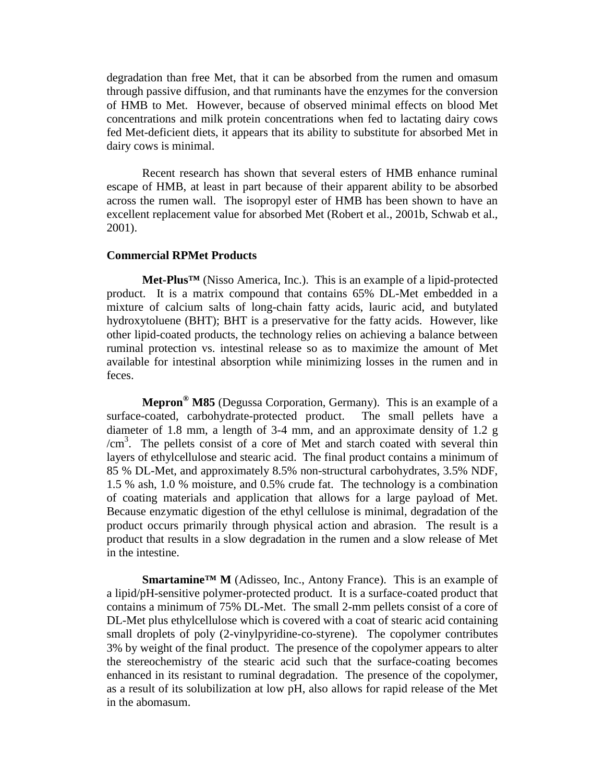degradation than free Met, that it can be absorbed from the rumen and omasum through passive diffusion, and that ruminants have the enzymes for the conversion of HMB to Met. However, because of observed minimal effects on blood Met concentrations and milk protein concentrations when fed to lactating dairy cows fed Met-deficient diets, it appears that its ability to substitute for absorbed Met in dairy cows is minimal.

 Recent research has shown that several esters of HMB enhance ruminal escape of HMB, at least in part because of their apparent ability to be absorbed across the rumen wall. The isopropyl ester of HMB has been shown to have an excellent replacement value for absorbed Met (Robert et al., 2001b, Schwab et al., 2001).

### **Commercial RPMet Products**

 **Met-Plus™** (Nisso America, Inc.). This is an example of a lipid-protected product. It is a matrix compound that contains 65% DL-Met embedded in a mixture of calcium salts of long-chain fatty acids, lauric acid, and butylated hydroxytoluene (BHT); BHT is a preservative for the fatty acids. However, like other lipid-coated products, the technology relies on achieving a balance between ruminal protection vs. intestinal release so as to maximize the amount of Met available for intestinal absorption while minimizing losses in the rumen and in feces.

 **Mepron® M85** (Degussa Corporation, Germany). This is an example of a surface-coated, carbohydrate-protected product. The small pellets have a diameter of 1.8 mm, a length of 3-4 mm, and an approximate density of 1.2 g /cm<sup>3</sup> . The pellets consist of a core of Met and starch coated with several thin layers of ethylcellulose and stearic acid. The final product contains a minimum of 85 % DL-Met, and approximately 8.5% non-structural carbohydrates, 3.5% NDF, 1.5 % ash, 1.0 % moisture, and 0.5% crude fat. The technology is a combination of coating materials and application that allows for a large payload of Met. Because enzymatic digestion of the ethyl cellulose is minimal, degradation of the product occurs primarily through physical action and abrasion. The result is a product that results in a slow degradation in the rumen and a slow release of Met in the intestine.

 **Smartamine™ M** (Adisseo, Inc., Antony France). This is an example of a lipid/pH-sensitive polymer-protected product. It is a surface-coated product that contains a minimum of 75% DL-Met. The small 2-mm pellets consist of a core of DL-Met plus ethylcellulose which is covered with a coat of stearic acid containing small droplets of poly (2-vinylpyridine-co-styrene). The copolymer contributes 3% by weight of the final product. The presence of the copolymer appears to alter the stereochemistry of the stearic acid such that the surface-coating becomes enhanced in its resistant to ruminal degradation. The presence of the copolymer, as a result of its solubilization at low pH, also allows for rapid release of the Met in the abomasum.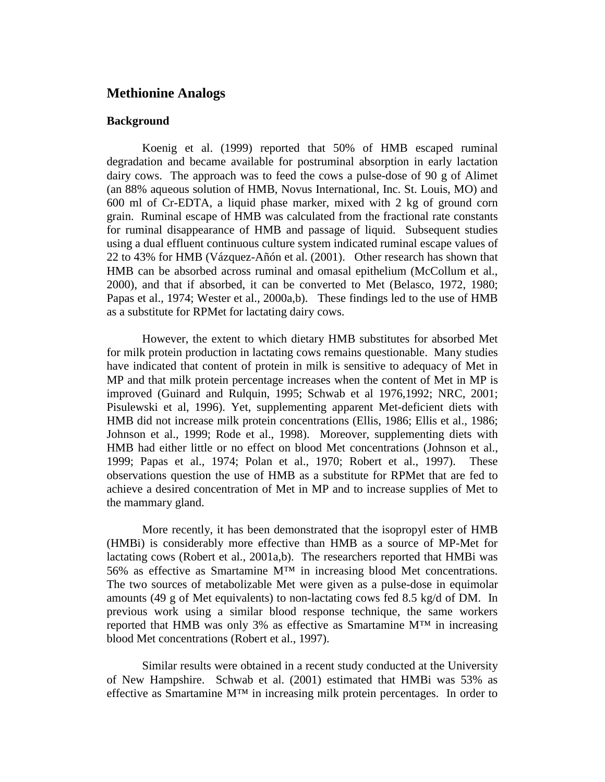# **Methionine Analogs**

## **Background**

Koenig et al. (1999) reported that 50% of HMB escaped ruminal degradation and became available for postruminal absorption in early lactation dairy cows. The approach was to feed the cows a pulse-dose of 90 g of Alimet (an 88% aqueous solution of HMB, Novus International, Inc. St. Louis, MO) and 600 ml of Cr-EDTA, a liquid phase marker, mixed with 2 kg of ground corn grain. Ruminal escape of HMB was calculated from the fractional rate constants for ruminal disappearance of HMB and passage of liquid. Subsequent studies using a dual effluent continuous culture system indicated ruminal escape values of 22 to 43% for HMB (Vázquez-Añón et al. (2001). Other research has shown that HMB can be absorbed across ruminal and omasal epithelium (McCollum et al., 2000), and that if absorbed, it can be converted to Met (Belasco, 1972, 1980; Papas et al., 1974; Wester et al., 2000a,b). These findings led to the use of HMB as a substitute for RPMet for lactating dairy cows.

However, the extent to which dietary HMB substitutes for absorbed Met for milk protein production in lactating cows remains questionable. Many studies have indicated that content of protein in milk is sensitive to adequacy of Met in MP and that milk protein percentage increases when the content of Met in MP is improved (Guinard and Rulquin, 1995; Schwab et al 1976,1992; NRC, 2001; Pisulewski et al, 1996). Yet, supplementing apparent Met-deficient diets with HMB did not increase milk protein concentrations (Ellis, 1986; Ellis et al., 1986; Johnson et al., 1999; Rode et al., 1998). Moreover, supplementing diets with HMB had either little or no effect on blood Met concentrations (Johnson et al., 1999; Papas et al., 1974; Polan et al., 1970; Robert et al., 1997). These observations question the use of HMB as a substitute for RPMet that are fed to achieve a desired concentration of Met in MP and to increase supplies of Met to the mammary gland.

More recently, it has been demonstrated that the isopropyl ester of HMB (HMBi) is considerably more effective than HMB as a source of MP-Met for lactating cows (Robert et al., 2001a,b). The researchers reported that HMBi was 56% as effective as Smartamine M™ in increasing blood Met concentrations. The two sources of metabolizable Met were given as a pulse-dose in equimolar amounts (49 g of Met equivalents) to non-lactating cows fed 8.5 kg/d of DM. In previous work using a similar blood response technique, the same workers reported that HMB was only 3% as effective as Smartamine M™ in increasing blood Met concentrations (Robert et al., 1997).

Similar results were obtained in a recent study conducted at the University of New Hampshire. Schwab et al. (2001) estimated that HMBi was 53% as effective as Smartamine  $M<sup>TM</sup>$  in increasing milk protein percentages. In order to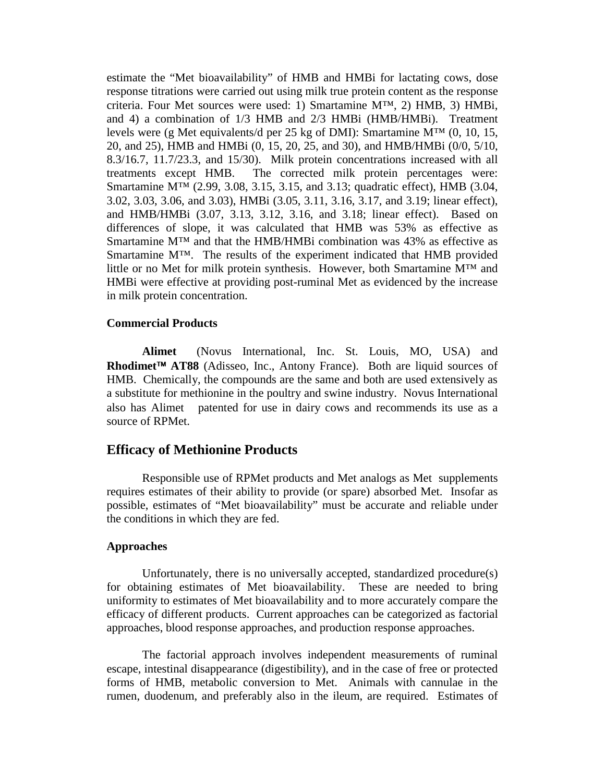estimate the "Met bioavailability" of HMB and HMBi for lactating cows, dose response titrations were carried out using milk true protein content as the response criteria. Four Met sources were used: 1) Smartamine M™, 2) HMB, 3) HMBi, and 4) a combination of 1/3 HMB and 2/3 HMBi (HMB/HMBi). Treatment levels were (g Met equivalents/d per 25 kg of DMI): Smartamine M™ (0, 10, 15, 20, and 25), HMB and HMBi (0, 15, 20, 25, and 30), and HMB/HMBi (0/0, 5/10, 8.3/16.7, 11.7/23.3, and 15/30). Milk protein concentrations increased with all treatments except HMB. The corrected milk protein percentages were: Smartamine M™ (2.99, 3.08, 3.15, 3.15, and 3.13; quadratic effect), HMB (3.04, 3.02, 3.03, 3.06, and 3.03), HMBi (3.05, 3.11, 3.16, 3.17, and 3.19; linear effect), and HMB/HMBi (3.07, 3.13, 3.12, 3.16, and 3.18; linear effect). Based on differences of slope, it was calculated that HMB was 53% as effective as Smartamine M™ and that the HMB/HMBi combination was 43% as effective as Smartamine M™. The results of the experiment indicated that HMB provided little or no Met for milk protein synthesis. However, both Smartamine M™ and HMBi were effective at providing post-ruminal Met as evidenced by the increase in milk protein concentration.

### **Commercial Products**

Alimet<sup>®</sup> (Novus International, Inc. St. Louis, MO, USA) and **Rhodimet<sup>™</sup> AT88** (Adisseo, Inc., Antony France). Both are liquid sources of HMB. Chemically, the compounds are the same and both are used extensively as a substitute for methionine in the poultry and swine industry. Novus International also has Alimet® patented for use in dairy cows and recommends its use as a source of RPMet.

# **Efficacy of Methionine Products**

 Responsible use of RPMet products and Met analogs as Met supplements requires estimates of their ability to provide (or spare) absorbed Met. Insofar as possible, estimates of "Met bioavailability" must be accurate and reliable under the conditions in which they are fed.

### **Approaches**

 Unfortunately, there is no universally accepted, standardized procedure(s) for obtaining estimates of Met bioavailability. These are needed to bring uniformity to estimates of Met bioavailability and to more accurately compare the efficacy of different products. Current approaches can be categorized as factorial approaches, blood response approaches, and production response approaches.

 The factorial approach involves independent measurements of ruminal escape, intestinal disappearance (digestibility), and in the case of free or protected forms of HMB, metabolic conversion to Met. Animals with cannulae in the rumen, duodenum, and preferably also in the ileum, are required. Estimates of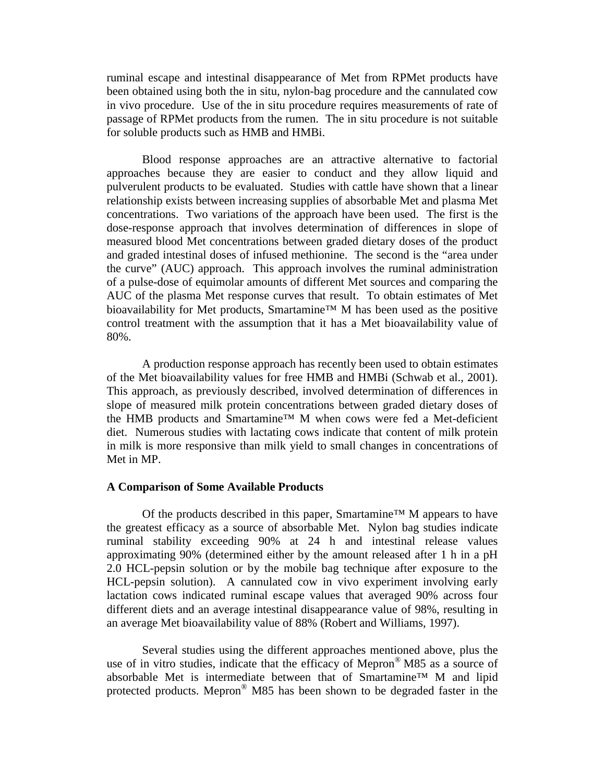ruminal escape and intestinal disappearance of Met from RPMet products have been obtained using both the in situ, nylon-bag procedure and the cannulated cow in vivo procedure. Use of the in situ procedure requires measurements of rate of passage of RPMet products from the rumen. The in situ procedure is not suitable for soluble products such as HMB and HMBi.

 Blood response approaches are an attractive alternative to factorial approaches because they are easier to conduct and they allow liquid and pulverulent products to be evaluated. Studies with cattle have shown that a linear relationship exists between increasing supplies of absorbable Met and plasma Met concentrations. Two variations of the approach have been used. The first is the dose-response approach that involves determination of differences in slope of measured blood Met concentrations between graded dietary doses of the product and graded intestinal doses of infused methionine. The second is the "area under the curve" (AUC) approach. This approach involves the ruminal administration of a pulse-dose of equimolar amounts of different Met sources and comparing the AUC of the plasma Met response curves that result. To obtain estimates of Met bioavailability for Met products, Smartamine™ M has been used as the positive control treatment with the assumption that it has a Met bioavailability value of 80%.

 A production response approach has recently been used to obtain estimates of the Met bioavailability values for free HMB and HMBi (Schwab et al., 2001). This approach, as previously described, involved determination of differences in slope of measured milk protein concentrations between graded dietary doses of the HMB products and Smartamine™ M when cows were fed a Met-deficient diet. Numerous studies with lactating cows indicate that content of milk protein in milk is more responsive than milk yield to small changes in concentrations of Met in MP.

### **A Comparison of Some Available Products**

Of the products described in this paper, Smartamine<sup>™</sup> M appears to have the greatest efficacy as a source of absorbable Met. Nylon bag studies indicate ruminal stability exceeding 90% at 24 h and intestinal release values approximating 90% (determined either by the amount released after 1 h in a pH 2.0 HCL-pepsin solution or by the mobile bag technique after exposure to the HCL-pepsin solution). A cannulated cow in vivo experiment involving early lactation cows indicated ruminal escape values that averaged 90% across four different diets and an average intestinal disappearance value of 98%, resulting in an average Met bioavailability value of 88% (Robert and Williams, 1997).

 Several studies using the different approaches mentioned above, plus the use of in vitro studies, indicate that the efficacy of Mepron<sup>®</sup> M85 as a source of absorbable Met is intermediate between that of Smartamine™ M and lipid protected products. Mepron® M85 has been shown to be degraded faster in the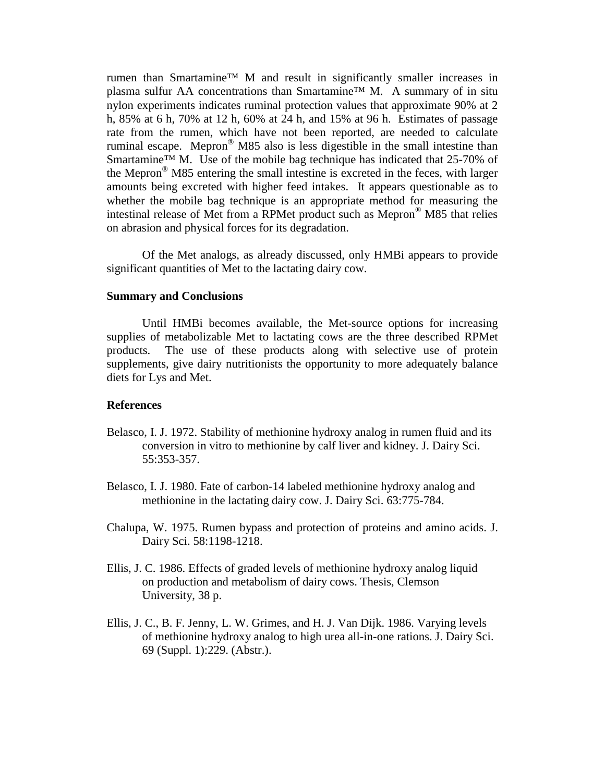rumen than Smartamine™ M and result in significantly smaller increases in plasma sulfur AA concentrations than Smartamine™ M. A summary of in situ nylon experiments indicates ruminal protection values that approximate 90% at 2 h, 85% at 6 h, 70% at 12 h, 60% at 24 h, and 15% at 96 h. Estimates of passage rate from the rumen, which have not been reported, are needed to calculate ruminal escape. Mepron® M85 also is less digestible in the small intestine than Smartamine<sup>™</sup> M. Use of the mobile bag technique has indicated that 25-70% of the Mepron® M85 entering the small intestine is excreted in the feces, with larger amounts being excreted with higher feed intakes. It appears questionable as to whether the mobile bag technique is an appropriate method for measuring the intestinal release of Met from a RPMet product such as Mepron® M85 that relies on abrasion and physical forces for its degradation.

 Of the Met analogs, as already discussed, only HMBi appears to provide significant quantities of Met to the lactating dairy cow.

## **Summary and Conclusions**

 Until HMBi becomes available, the Met-source options for increasing supplies of metabolizable Met to lactating cows are the three described RPMet products. The use of these products along with selective use of protein supplements, give dairy nutritionists the opportunity to more adequately balance diets for Lys and Met.

### **References**

- Belasco, I. J. 1972. Stability of methionine hydroxy analog in rumen fluid and its conversion in vitro to methionine by calf liver and kidney. J. Dairy Sci. 55:353-357.
- Belasco, I. J. 1980. Fate of carbon-14 labeled methionine hydroxy analog and methionine in the lactating dairy cow. J. Dairy Sci. 63:775-784.
- Chalupa, W. 1975. Rumen bypass and protection of proteins and amino acids. J. Dairy Sci. 58:1198-1218.
- Ellis, J. C. 1986. Effects of graded levels of methionine hydroxy analog liquid on production and metabolism of dairy cows. Thesis, Clemson University, 38 p.
- Ellis, J. C., B. F. Jenny, L. W. Grimes, and H. J. Van Dijk. 1986. Varying levels of methionine hydroxy analog to high urea all-in-one rations. J. Dairy Sci. 69 (Suppl. 1):229. (Abstr.).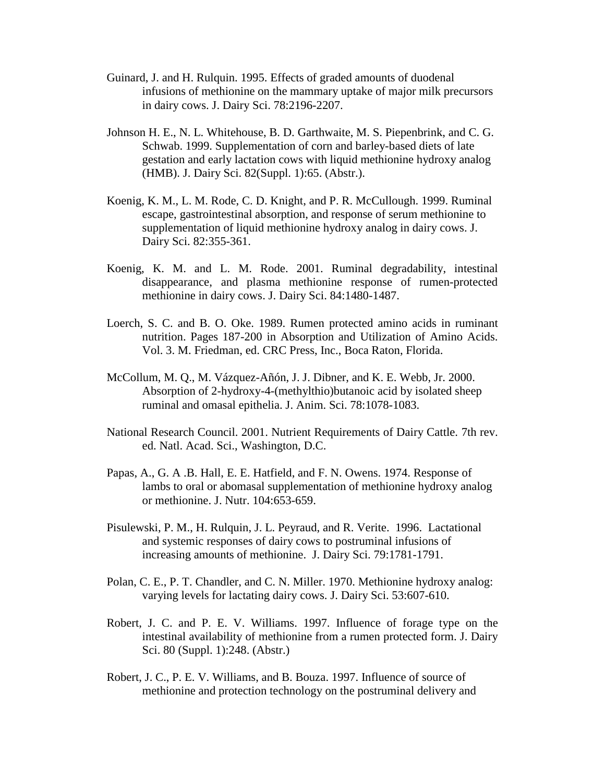- Guinard, J. and H. Rulquin. 1995. Effects of graded amounts of duodenal infusions of methionine on the mammary uptake of major milk precursors in dairy cows. J. Dairy Sci. 78:2196-2207.
- Johnson H. E., N. L. Whitehouse, B. D. Garthwaite, M. S. Piepenbrink, and C. G. Schwab. 1999. Supplementation of corn and barley-based diets of late gestation and early lactation cows with liquid methionine hydroxy analog (HMB). J. Dairy Sci. 82(Suppl. 1):65. (Abstr.).
- Koenig, K. M., L. M. Rode, C. D. Knight, and P. R. McCullough. 1999. Ruminal escape, gastrointestinal absorption, and response of serum methionine to supplementation of liquid methionine hydroxy analog in dairy cows. J. Dairy Sci. 82:355-361.
- Koenig, K. M. and L. M. Rode. 2001. Ruminal degradability, intestinal disappearance, and plasma methionine response of rumen-protected methionine in dairy cows. J. Dairy Sci. 84:1480-1487.
- Loerch, S. C. and B. O. Oke. 1989. Rumen protected amino acids in ruminant nutrition. Pages 187-200 in Absorption and Utilization of Amino Acids. Vol. 3. M. Friedman, ed. CRC Press, Inc., Boca Raton, Florida.
- McCollum, M. Q., M. Vázquez-Añón, J. J. Dibner, and K. E. Webb, Jr. 2000. Absorption of 2-hydroxy-4-(methylthio)butanoic acid by isolated sheep ruminal and omasal epithelia. J. Anim. Sci. 78:1078-1083.
- National Research Council. 2001. Nutrient Requirements of Dairy Cattle. 7th rev. ed. Natl. Acad. Sci., Washington, D.C.
- Papas, A., G. A .B. Hall, E. E. Hatfield, and F. N. Owens. 1974. Response of lambs to oral or abomasal supplementation of methionine hydroxy analog or methionine. J. Nutr. 104:653-659.
- Pisulewski, P. M., H. Rulquin, J. L. Peyraud, and R. Verite. 1996. Lactational and systemic responses of dairy cows to postruminal infusions of increasing amounts of methionine. J. Dairy Sci. 79:1781-1791.
- Polan, C. E., P. T. Chandler, and C. N. Miller. 1970. Methionine hydroxy analog: varying levels for lactating dairy cows. J. Dairy Sci. 53:607-610.
- Robert, J. C. and P. E. V. Williams. 1997. Influence of forage type on the intestinal availability of methionine from a rumen protected form. J. Dairy Sci. 80 (Suppl. 1):248. (Abstr.)
- Robert, J. C., P. E. V. Williams, and B. Bouza. 1997. Influence of source of methionine and protection technology on the postruminal delivery and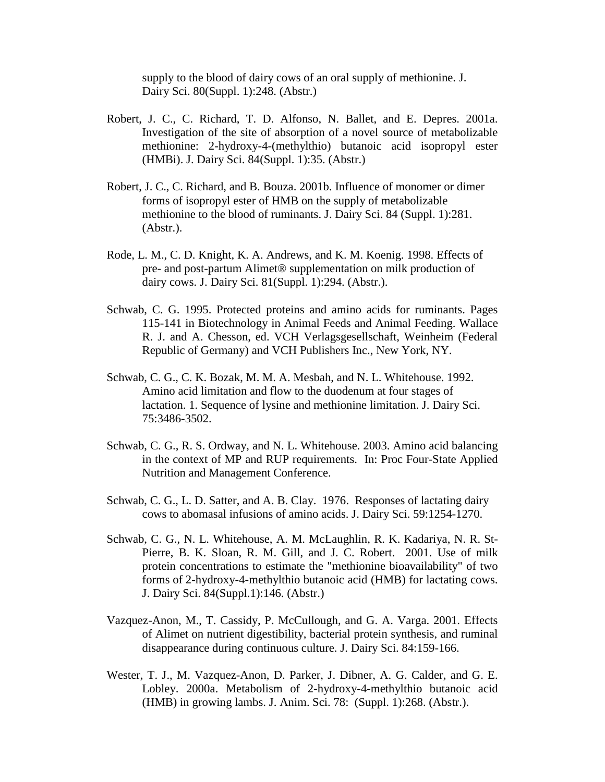supply to the blood of dairy cows of an oral supply of methionine. J. Dairy Sci. 80(Suppl. 1):248. (Abstr.)

- Robert, J. C., C. Richard, T. D. Alfonso, N. Ballet, and E. Depres. 2001a. Investigation of the site of absorption of a novel source of metabolizable methionine: 2-hydroxy-4-(methylthio) butanoic acid isopropyl ester (HMBi). J. Dairy Sci. 84(Suppl. 1):35. (Abstr.)
- Robert, J. C., C. Richard, and B. Bouza. 2001b. Influence of monomer or dimer forms of isopropyl ester of HMB on the supply of metabolizable methionine to the blood of ruminants. J. Dairy Sci. 84 (Suppl. 1):281. (Abstr.).
- Rode, L. M., C. D. Knight, K. A. Andrews, and K. M. Koenig. 1998. Effects of pre- and post-partum Alimet® supplementation on milk production of dairy cows. J. Dairy Sci. 81(Suppl. 1):294. (Abstr.).
- Schwab, C. G. 1995. Protected proteins and amino acids for ruminants. Pages 115-141 in Biotechnology in Animal Feeds and Animal Feeding. Wallace R. J. and A. Chesson, ed. VCH Verlagsgesellschaft, Weinheim (Federal Republic of Germany) and VCH Publishers Inc., New York, NY.
- Schwab, C. G., C. K. Bozak, M. M. A. Mesbah, and N. L. Whitehouse. 1992. Amino acid limitation and flow to the duodenum at four stages of lactation. 1. Sequence of lysine and methionine limitation. J. Dairy Sci. 75:3486-3502.
- Schwab, C. G., R. S. Ordway, and N. L. Whitehouse. 2003. Amino acid balancing in the context of MP and RUP requirements. In: Proc Four-State Applied Nutrition and Management Conference.
- Schwab, C. G., L. D. Satter, and A. B. Clay. 1976. Responses of lactating dairy cows to abomasal infusions of amino acids. J. Dairy Sci. 59:1254-1270.
- Schwab, C. G., N. L. Whitehouse, A. M. McLaughlin, R. K. Kadariya, N. R. St- Pierre, B. K. Sloan, R. M. Gill, and J. C. Robert. 2001. Use of milk protein concentrations to estimate the "methionine bioavailability" of two forms of 2-hydroxy-4-methylthio butanoic acid (HMB) for lactating cows. J. Dairy Sci. 84(Suppl.1):146. (Abstr.)
- Vazquez-Anon, M., T. Cassidy, P. McCullough, and G. A. Varga. 2001. Effects of Alimet on nutrient digestibility, bacterial protein synthesis, and ruminal disappearance during continuous culture. J. Dairy Sci. 84:159-166.
- Wester, T. J., M. Vazquez-Anon, D. Parker, J. Dibner, A. G. Calder, and G. E. Lobley. 2000a. Metabolism of 2-hydroxy-4-methylthio butanoic acid (HMB) in growing lambs. J. Anim. Sci. 78: (Suppl. 1):268. (Abstr.).